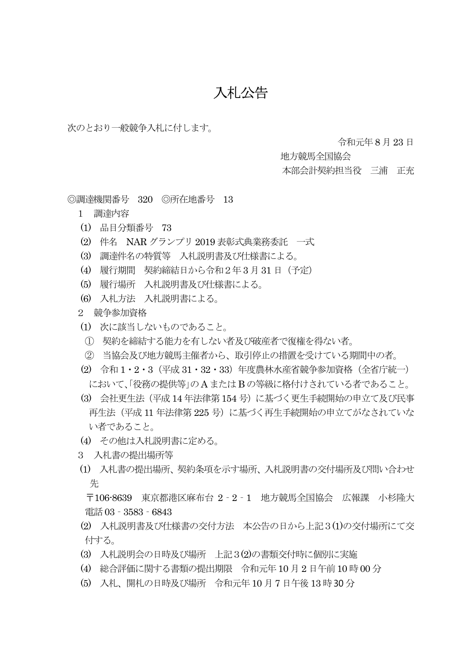## 入札公告

次のとおり一般競争入札に付します。

令和元年 8 月23 日

地方競馬全国協会

本部会計契約担当役 三浦 正充

◎調達機関番号 320 ◎所在地番号 13

- 1 調達内容
- (1) 品目分類番号 73
- (2) 件名 NAR グランプリ 2019 表彰式典業務委託 一式
- (3) 調達件名の特質等 入札説明書及び仕様書による。
- (4) 履行期間 契約締結日から令和2年3 月31 日(予定)
- (5) 履行場所 入札説明書及び仕様書による。
- (6) 入札方法 入札説明書による。
- 2 競争参加資格
- (1) 次に該当しないものであること。
- ① 契約を締結する能力を有しない者及び破産者で復権を得ない者。
- ② 当協会及び地方競馬主催者から、取引停止の措置を受けている期間中の者。
- (2) 令和 1・2・3(平成 31・32・33)年度農林水産省競争参加資格(全省庁統一) において、「役務の提供等」のA またはB の等級に格付けされている者であること。
- (3) 会社更生法(平成14 年法律第154 号)に基づく更生手続開始の申立て及び民事 再生法(平成 11 年法律第 225 号)に基づく再生手続開始の申立てがなされていな い者であること。
- (4) その他は入札説明書に定める。
- 3 入札書の提出場所等
- (1) 入札書の提出場所、契約条項を示す場所、入札説明書の交付場所及び問い合わせ 先

 〒106-8639 東京都港区麻布台 2‐2‐1 地方競馬全国協会 広報課 小杉隆大 電話03‐3583‐6843

- (2) 入札説明書及び仕様書の交付方法 本公告の日から上記3(1)の交付場所にて交 付する。
- (3) 入札説明会の日時及び場所 上記3(2)の書類交付時に個別に実施
- (4) 総合評価に関する書類の提出期限 令和元年10 月 2 日午前10 時00 分
- (5) 入札、開札の日時及び場所 令和元年10 月7 日午後 13 時 30 分